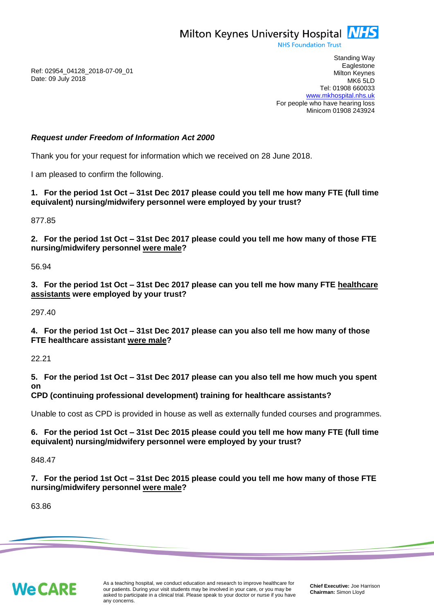Milton Keynes University Hospital **NHS** 

**NHS Foundation Trust** 

Ref: 02954\_04128\_2018-07-09\_01 Date: 09 July 2018

Standing Way **Eaglestone** Milton Keynes MK6 5LD Tel: 01908 660033 [www.mkhospital.nhs.uk](http://www.mkhospital.nhs.uk/) For people who have hearing loss Minicom 01908 243924

# *Request under Freedom of Information Act 2000*

Thank you for your request for information which we received on 28 June 2018.

I am pleased to confirm the following.

**1. For the period 1st Oct – 31st Dec 2017 please could you tell me how many FTE (full time equivalent) nursing/midwifery personnel were employed by your trust?**

877.85

**2. For the period 1st Oct – 31st Dec 2017 please could you tell me how many of those FTE nursing/midwifery personnel were male?**

56.94

**3. For the period 1st Oct – 31st Dec 2017 please can you tell me how many FTE healthcare assistants were employed by your trust?**

297.40

**4. For the period 1st Oct – 31st Dec 2017 please can you also tell me how many of those FTE healthcare assistant were male?**

22.21

**5. For the period 1st Oct – 31st Dec 2017 please can you also tell me how much you spent on** 

**CPD (continuing professional development) training for healthcare assistants?**

Unable to cost as CPD is provided in house as well as externally funded courses and programmes.

**6. For the period 1st Oct – 31st Dec 2015 please could you tell me how many FTE (full time equivalent) nursing/midwifery personnel were employed by your trust?**

848.47

### **7. For the period 1st Oct – 31st Dec 2015 please could you tell me how many of those FTE nursing/midwifery personnel were male?**

63.86